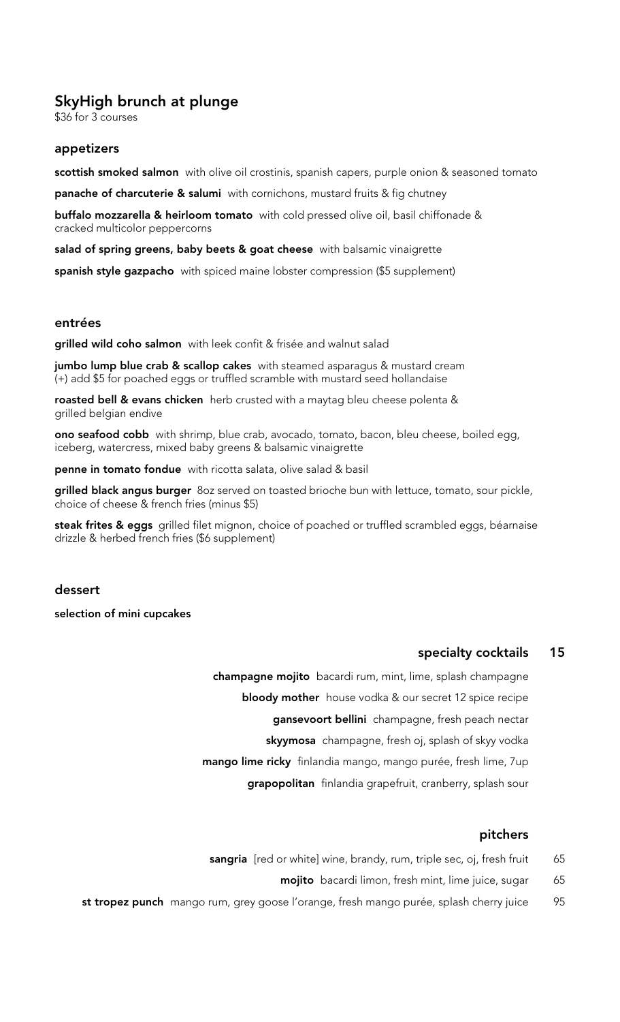# SkyHigh brunch at plunge

\$36 for 3 courses

#### appetizers

scottish smoked salmon with olive oil crostinis, spanish capers, purple onion & seasoned tomato

panache of charcuterie & salumi with cornichons, mustard fruits & fig chutney

buffalo mozzarella & heirloom tomato with cold pressed olive oil, basil chiffonade & cracked multicolor peppercorns

salad of spring greens, baby beets & goat cheese with balsamic vinaigrette

spanish style gazpacho with spiced maine lobster compression (\$5 supplement)

#### entrées

grilled wild coho salmon with leek confit & frisée and walnut salad

jumbo lump blue crab & scallop cakes with steamed asparagus & mustard cream (+) add \$5 for poached eggs or truffled scramble with mustard seed hollandaise

roasted bell & evans chicken herb crusted with a maytag bleu cheese polenta & grilled belgian endive

ono seafood cobb with shrimp, blue crab, avocado, tomato, bacon, bleu cheese, boiled egg, iceberg, watercress, mixed baby greens & balsamic vinaigrette

penne in tomato fondue with ricotta salata, olive salad & basil

grilled black angus burger 80z served on toasted brioche bun with lettuce, tomato, sour pickle, choice of cheese & french fries (minus \$5)

steak frites & eggs grilled filet mignon, choice of poached or truffled scrambled eggs, béarnaise drizzle & herbed french fries (\$6 supplement)

#### dessert

selection of mini cupcakes

## specialty cocktails 15

champagne mojito bacardi rum, mint, lime, splash champagne **bloody mother** house vodka & our secret 12 spice recipe gansevoort bellini champagne, fresh peach nectar skyymosa champagne, fresh oj, splash of skyy vodka mango lime ricky finlandia mango, mango purée, fresh lime, 7up grapopolitan finlandia grapefruit, cranberry, splash sour

### pitchers

- sangria [red or white] wine, brandy, rum, triple sec, oj, fresh fruit 65
	- mojito bacardi limon, fresh mint, lime juice, sugar 65
- st tropez punch mango rum, grey goose l'orange, fresh mango purée, splash cherry juice 95